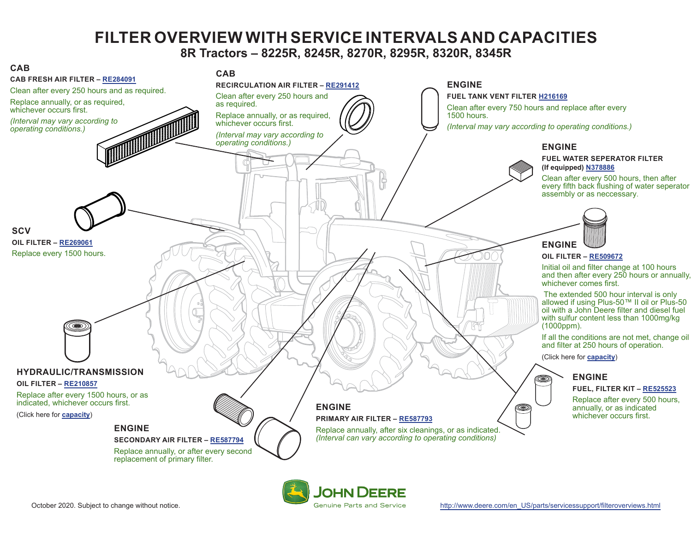## **FILTER OVERVIEW WITH SERVICE INTERVALS AND CAPACITIES 8R Tractors – 8225R, 8245R, 8270R, 8295R, 8320R, 8345R**

<span id="page-0-0"></span>

JOHN DEERE